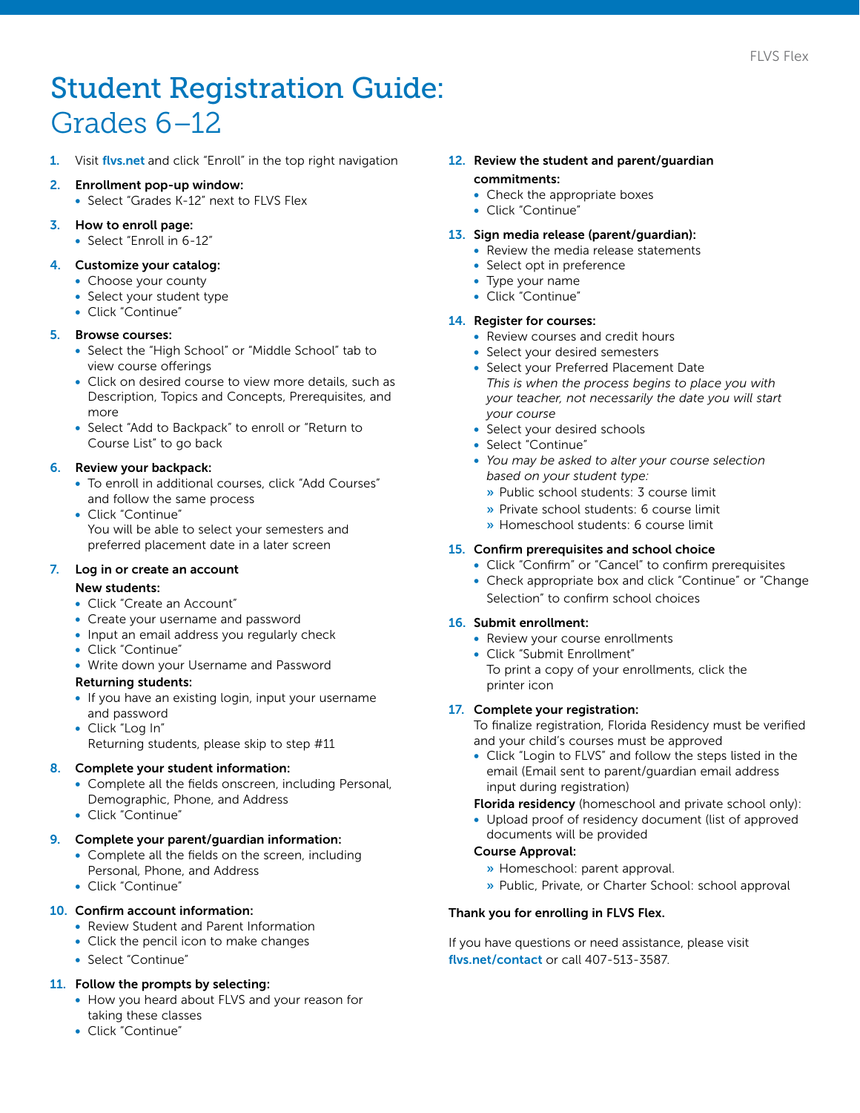# Student Registration Guide: Grades 6–12

- Visit [flvs.net](http://www.flvs.net) and click "Enroll" in the top right navigation
- 2. Enrollment pop-up window:
- Select "Grades K-12" next to FLVS Flex
- 3. How to enroll page:
	- Select "Enroll in 6-12"

### 4. Customize your catalog:

- Choose your county
- Select your student type
- Click "Continue"

## 5. Browse courses:

- Select the "High School" or "Middle School" tab to view course offerings
- Click on desired course to view more details, such as Description, Topics and Concepts, Prerequisites, and more
- Select "Add to Backpack" to enroll or "Return to Course List" to go back

## 6. Review your backpack:

- To enroll in additional courses, click "Add Courses" and follow the same process
- Click "Continue" You will be able to select your semesters and preferred placement date in a later screen

## 7. Log in or create an account

### New students:

- Click "Create an Account"
- Create your username and password
- Input an email address you regularly check
- Click "Continue"
- Write down your Username and Password

### Returning students:

- If you have an existing login, input your username and password
- Click "Log In"
	- Returning students, please skip to step #11

## 8. Complete your student information:

- Complete all the fields onscreen, including Personal, Demographic, Phone, and Address
- Click "Continue"

### 9. Complete your parent/guardian information:

- Complete all the fields on the screen, including Personal, Phone, and Address
- Click "Continue"

### 10. Confirm account information:

- Review Student and Parent Information
- Click the pencil icon to make changes
- Select "Continue"

## 11. Follow the prompts by selecting:

- How you heard about FLVS and your reason for taking these classes
- Click "Continue"

### 12. Review the student and parent/guardian commitments:

- Check the appropriate boxes
- Click "Continue"

### 13. Sign media release (parent/guardian):

- Review the media release statements
- Select opt in preference
- Type your name
- Click "Continue"

## 14. Register for courses:

- Review courses and credit hours
- Select your desired semesters
- Select your Preferred Placement Date *This is when the process begins to place you with your teacher, not necessarily the date you will start your course*
- Select your desired schools
- Select "Continue"
- *You may be asked to alter your course selection based on your student type:*
	- » Public school students: 3 course limit
	- » Private school students: 6 course limit
	- » Homeschool students: 6 course limit

## 15. Confirm prerequisites and school choice

- Click "Confirm" or "Cancel" to confirm prerequisites
- Check appropriate box and click "Continue" or "Change Selection" to confirm school choices

### 16. Submit enrollment:

- Review your course enrollments
- Click "Submit Enrollment" To print a copy of your enrollments, click the printer icon

### 17. Complete your registration:

To finalize registration, Florida Residency must be verified and your child's courses must be approved

• Click "Login to FLVS" and follow the steps listed in the email (Email sent to parent/guardian email address input during registration)

## Florida residency (homeschool and private school only):

• Upload proof of residency document (list of approved documents will be provided

## Course Approval:

- » Homeschool: parent approval.
- » Public, Private, or Charter School: school approval

### Thank you for enrolling in FLVS Flex.

If you have questions or need assistance, please visit [flvs.net/contact](http://www.flvs.net/contact) or call 407-513-3587.